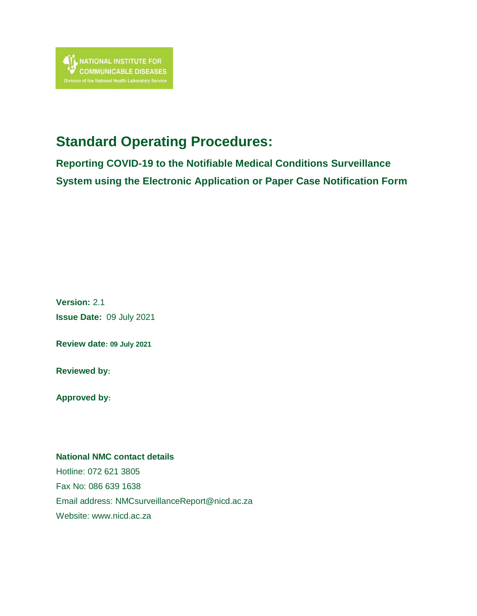# **Standard Operating Procedures:**

**Reporting COVID-19 to the Notifiable Medical Conditions Surveillance System using the Electronic Application or Paper Case Notification Form**

**Version:** 2.1 **Issue Date:** 09 July 2021

**Review date: 09 July 2021**

**Reviewed by:**

**Approved by:**

#### **National NMC contact details**

Hotline: 072 621 3805 Fax No: 086 639 1638 Email address: [NMCsurveillanceReport@nicd.ac.za](mailto:NMCsurveillanceReport@nicd.ac.za) Website: www.nicd.ac.za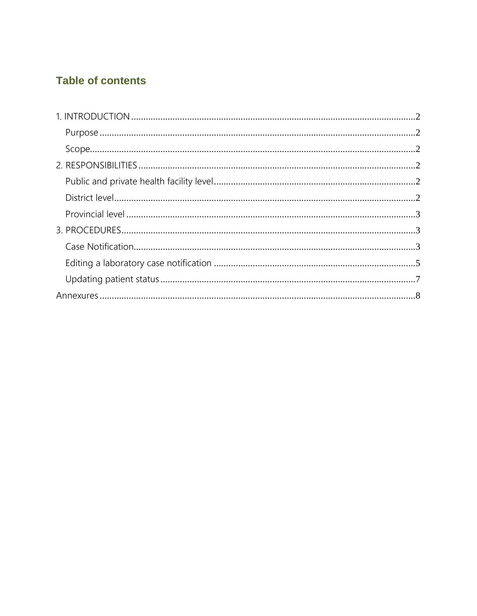## **Table of contents**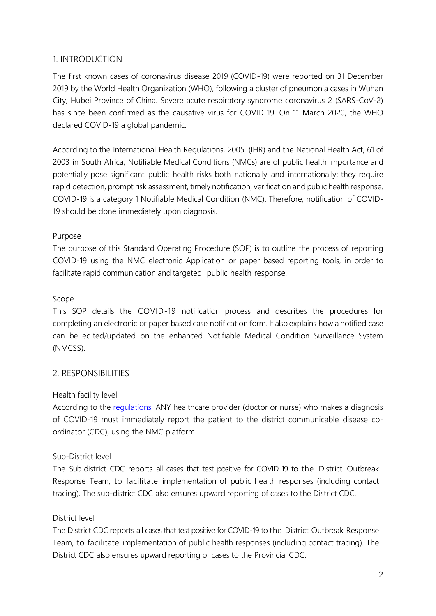#### <span id="page-2-0"></span>1. INTRODUCTION

The first known cases of coronavirus disease 2019 (COVID-19) were reported on 31 December 2019 by the World Health Organization (WHO), following a cluster of pneumonia cases in Wuhan City, Hubei Province of China. Severe acute respiratory syndrome coronavirus 2 (SARS-CoV-2) has since been confirmed as the causative virus for COVID-19. On 11 March 2020, the WHO declared COVID-19 a global pandemic.

According to the International Health Regulations, 2005 (IHR) and the National Health Act, 61 of 2003 in South Africa, Notifiable Medical Conditions (NMCs) are of public health importance and potentially pose significant public health risks both nationally and internationally; they require rapid detection, prompt risk assessment, timely notification, verification and public health response. COVID-19 is a category 1 Notifiable Medical Condition (NMC). Therefore, notification of COVID-19 should be done immediately upon diagnosis.

#### <span id="page-2-1"></span>Purpose

<span id="page-2-2"></span>The purpose of this Standard Operating Procedure (SOP) is to outline the process of reporting COVID-19 using the NMC electronic Application or paper based reporting tools, in order to facilitate rapid communication and targeted public health response.

#### Scope

<span id="page-2-3"></span>This SOP details the COVID-19 notification process and describes the procedures for completing an electronic or paper based case notification form. It also explains how a notified case can be edited/updated on the enhanced Notifiable Medical Condition Surveillance System (NMCSS).

### <span id="page-2-4"></span>2. RESPONSIBILITIES

### Health facility level

According to the [regulations,](https://www.nicd.ac.za/wp-content/uploads/2017/12/41330_15-12_Health-compressed.pdf) ANY healthcare provider (doctor or nurse) who makes a diagnosis of COVID-19 must immediately report the patient to the district communicable disease coordinator (CDC), using the NMC platform.

### Sub-District level

<span id="page-2-5"></span>The Sub-district CDC reports all cases that test positive for COVID-19 to the District Outbreak Response Team, to facilitate implementation of public health responses (including contact tracing). The sub-district CDC also ensures upward reporting of cases to the District CDC.

#### District level

The District CDC reports all cases that test positive for COVID-19 to the District Outbreak Response Team, to facilitate implementation of public health responses (including contact tracing). The District CDC also ensures upward reporting of cases to the Provincial CDC.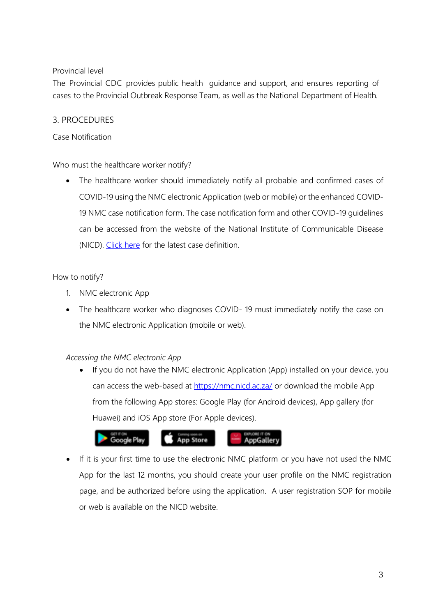#### <span id="page-3-0"></span>Provincial level

<span id="page-3-2"></span><span id="page-3-1"></span>The Provincial CDC provides public health guidance and support, and ensures reporting of cases to the Provincial Outbreak Response Team, as well as the National Department of Health.

#### 3. PROCEDURES

#### Case Notification

Who must the healthcare worker notify?

 The healthcare worker should immediately notify all probable and confirmed cases of COVID-19 using the NMC electronic Application (web or mobile) or the enhanced COVID-19 NMC case notification form. The case notification form and other COVID-19 guidelines can be accessed from the website of the National Institute of Communicable Disease (NICD). [Click here](https://www.nicd.ac.za/wp-content/uploads/2021/06/Revised_COVID-19_NMC-Case-Def_03June2021.pdf) for the latest case definition.

#### How to notify?

- 1. NMC electronic App
- The healthcare worker who diagnoses COVID-19 must immediately notify the case on the NMC electronic Application (mobile or web).

#### *Accessing the NMC electronic App*

• If you do not have the NMC electronic Application (App) installed on your device, you can access the web-based at<https://nmc.nicd.ac.za/> or download the mobile App from the following App stores: Google Play (for Android devices), App gallery (for Huawei) and iOS App store (For Apple devices).



 If it is your first time to use the electronic NMC platform or you have not used the NMC App for the last 12 months, you should create your user profile on the NMC registration page, and be authorized before using the application. A user registration SOP for mobile or web is available on the NICD website.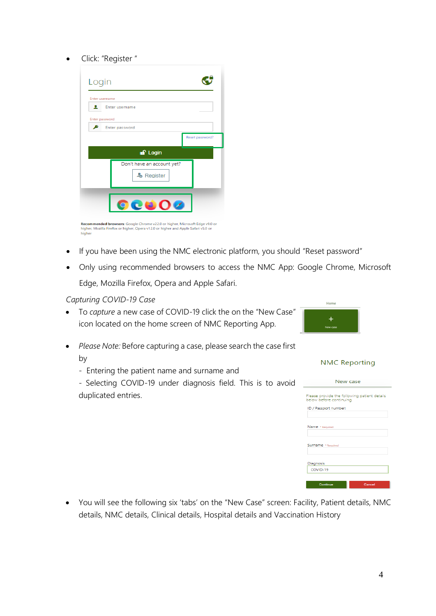#### • Click: "Register "

| Login               |                                          |                 |
|---------------------|------------------------------------------|-----------------|
| Enter username      |                                          |                 |
| ఽ<br>Enter password | Enter username                           |                 |
|                     | Enter password                           |                 |
|                     |                                          | Reset password? |
|                     | <b>a</b> Login                           |                 |
|                     | Don't have an account yet?<br>& Register |                 |
|                     |                                          |                 |

**Recommended browsers:** Google Chrome v22.0 or higher, Microsoft Edge v9.0 or<br>higher, Mozilla Firefox or higher, Opera v12.0 or higher and Apple Safari v5.0 or<br>higher

- If you have been using the NMC electronic platform, you should "Reset password"
- Only using recommended browsers to access the NMC App: Google Chrome, Microsoft Edge, Mozilla Firefox, Opera and Apple Safari.

*Capturing COVID-19 Case*

- To *capture* a new case of COVID-19 click the on the "New Case" icon located on the home screen of NMC Reporting App.
- *Please Note:* Before capturing a case, please search the case first by
	- Entering the patient name and surname and

*-* Selecting COVID-19 under diagnosis field. This is to avoid duplicated entries.

| New case                                                                |  |  |  |  |
|-------------------------------------------------------------------------|--|--|--|--|
| Please provide the following patient details<br>below before continuing |  |  |  |  |
| ID / Passport number:                                                   |  |  |  |  |
| Name * Required                                                         |  |  |  |  |
| Surname + Required                                                      |  |  |  |  |
| Diagnosis                                                               |  |  |  |  |
| COVID-19                                                                |  |  |  |  |
| Cancel<br><b>Continue</b>                                               |  |  |  |  |

 You will see the following six 'tabs' on the "New Case" screen: Facility, Patient details, NMC details, NMC details, Clinical details, Hospital details and Vaccination History

**NMC Reporting** 

 $L_{\rm QCD}$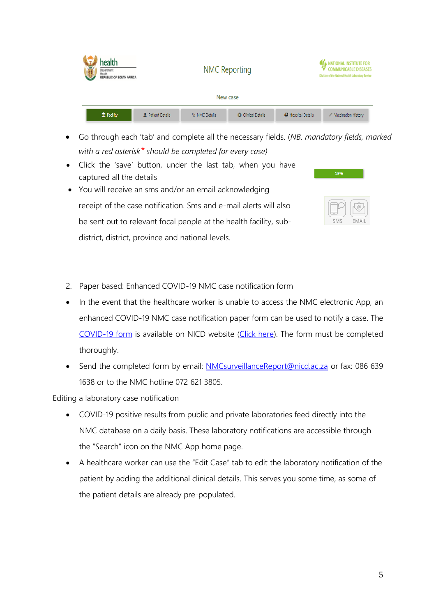| <b>Print</b> | health<br>Department:<br>Health<br>REPUBLIC OF SOUTH AFRICA | <b>NMC Reporting</b>     |               |                           |                            | <b>ATL NATIONAL INSTITUTE FOR</b><br><b>COMMUNICABLE DISEASES</b><br>Division of the National Health Laboratory Service |  |
|--------------|-------------------------------------------------------------|--------------------------|---------------|---------------------------|----------------------------|-------------------------------------------------------------------------------------------------------------------------|--|
| New case     |                                                             |                          |               |                           |                            |                                                                                                                         |  |
|              | film Facility                                               | <b>1</b> Patient Details | V NMC Details | <b>D</b> Clinical Details | <b>69</b> Hospital Details | V Vaccination History                                                                                                   |  |

- Go through each 'tab' and complete all the necessary fields. (*NB. mandatory fields, marked with a red asterisk\* should be completed for every case)*
- Click the 'save' button, under the last tab, when you have captured all the details
- You will receive an sms and/or an email acknowledging receipt of the case notification. Sms and e-mail alerts will also be sent out to relevant focal people at the health facility, sub-FMAIL district, district, province and national levels.
- 2. Paper based: Enhanced COVID-19 NMC case notification form
- In the event that the healthcare worker is unable to access the NMC electronic App, an enhanced COVID-19 NMC case notification paper form can be used to notify a case. The [COVID-19 form](https://www.nicd.ac.za/wp-content/uploads/2020/04/COVID-19_Case_Notification_Form_Final.pdf) is available on NICD website [\(Click here\)](https://www.nicd.ac.za/diseases-a-z-index/covid-19/covid-19-resources/). The form must be completed thoroughly.
- <span id="page-5-0"></span>• Send the completed form by email: [NMCsurveillanceReport@nicd.ac.za](mailto:NMCsurveillanceReport@nicd.ac.za) or fax: 086 639 1638 or to the NMC hotline 072 621 3805.

Editing a laboratory case notification

- COVID-19 positive results from public and private laboratories feed directly into the NMC database on a daily basis. These laboratory notifications are accessible through the "Search" icon on the NMC App home page.
- A healthcare worker can use the "Edit Case" tab to edit the laboratory notification of the patient by adding the additional clinical details. This serves you some time, as some of the patient details are already pre-populated.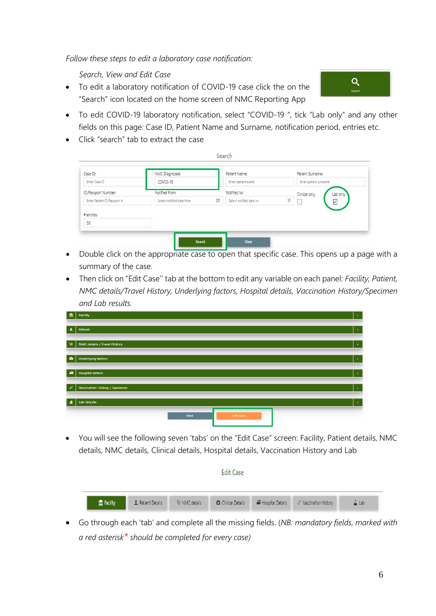*Follow these steps to edit a laboratory case notification:*

*Search, View and Edit Case* 

- To edit a laboratory notification of COVID-19 case click the on the "Search" icon located on the home screen of NMC Reporting App
- To edit COVID-19 laboratory notification, select "COVID-19 ", tick "Lab only" and any other fields on this page: Case ID, Patient Name and Surname, notification period, entries etc.
- Click "search" tab to extract the case

| Case ID:                    | NMC Diagnosed:            | Patient Name:                | Patient Surname:          |
|-----------------------------|---------------------------|------------------------------|---------------------------|
| Enter Case ID               | COVID-19                  | Enter patient name           | Enter patient surname     |
| ID/Passport Number:         | Notified from:            | Notified to:                 | Lab only<br>Clinical only |
| Enter Patient ID/Passport # | Select notified date from | 冒<br>Select notified date to | 珊<br>$\checkmark$         |
| # entries                   |                           |                              |                           |
| 50                          |                           |                              |                           |

- Double click on the appropriate case to open that specific case. This opens up a page with a summary of the case.
- Then click on "Edit Case'' tab at the bottom to edit any variable on each panel: *Facility, Patient, NMC details/Travel History, Underlying factors, Hospital details, Vaccination History/Specimen and Lab results.*

| 血                | Facility                       | $\sim$                      |
|------------------|--------------------------------|-----------------------------|
| $\Delta$         | Patient                        | $\star$                     |
| $Q_{\rm J}$      | NMC details / Travel History   | $\mathcal{A}$               |
| o                | <b>Underlying factors</b>      | $\sim$                      |
| æ                | <b>Hospital details</b>        | $\mathcal{S}_{\mathcal{S}}$ |
| v                | Vaccination History / Specimen | $\sim$                      |
| $\blacktriangle$ | <b>Lab Results</b><br>_______  | $\sim$                      |
|                  | <b>Back</b><br>Edit case       |                             |
|                  |                                |                             |

 You will see the following seven 'tabs' on the "Edit Case" screen: Facility, Patient details, NMC details, NMC details, Clinical details, Hospital details, Vaccination History and Lab

| <b>Edit Case</b> |  |                                        |  |  |                                                                                     |                 |
|------------------|--|----------------------------------------|--|--|-------------------------------------------------------------------------------------|-----------------|
| film Facility    |  | <b>1</b> Patient Details U NMC details |  |  | <b>D</b> I Clinical Details <b>49</b> Hospital Details <i>C</i> Vaccination History | $\triangle$ Lab |

 Go through each 'tab' and complete all the missing fields. (*NB: mandatory fields, marked with a red asterisk\* should be completed for every case)*

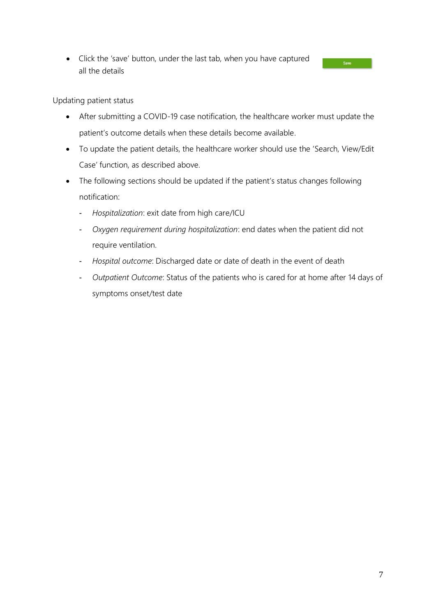<span id="page-7-0"></span>• Click the 'save' button, under the last tab, when you have captured all the details

Updating patient status

- After submitting a COVID-19 case notification, the healthcare worker must update the patient's outcome details when these details become available.
- To update the patient details, the healthcare worker should use the 'Search, View/Edit Case' function, as described above.
- The following sections should be updated if the patient's status changes following notification:
	- *Hospitalization*: exit date from high care/ICU
	- *Oxygen requirement during hospitalization*: end dates when the patient did not require ventilation.
	- *Hospital outcome*: Discharged date or date of death in the event of death
	- *Outpatient Outcome*: Status of the patients who is cared for at home after 14 days of symptoms onset/test date